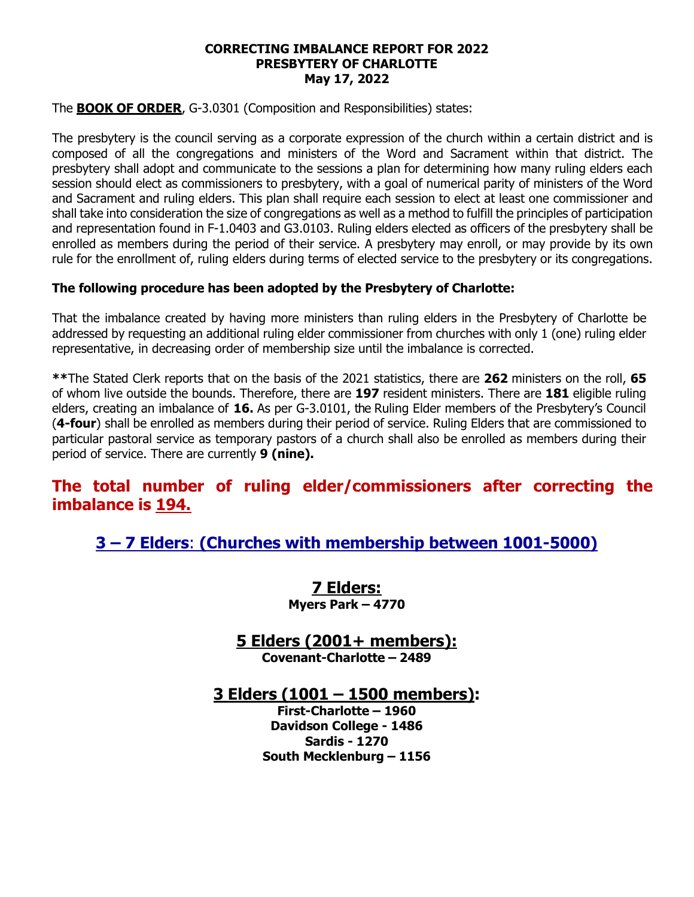#### **CORRECTING IMBALANCE REPORT FOR 2022 PRESBYTERY OF CHARLOTTE May 17, 2022**

The **BOOK OF ORDER**, G-3.0301 (Composition and Responsibilities) states:

The presbytery is the council serving as a corporate expression of the church within a certain district and is composed of all the congregations and ministers of the Word and Sacrament within that district. The presbytery shall adopt and communicate to the sessions a plan for determining how many ruling elders each session should elect as commissioners to presbytery, with a goal of numerical parity of ministers of the Word and Sacrament and ruling elders. This plan shall require each session to elect at least one commissioner and shall take into consideration the size of congregations as well as a method to fulfill the principles of participation and representation found in F-1.0403 and G3.0103. Ruling elders elected as officers of the presbytery shall be enrolled as members during the period of their service. A presbytery may enroll, or may provide by its own rule for the enrollment of, ruling elders during terms of elected service to the presbytery or its congregations.

#### **The following procedure has been adopted by the Presbytery of Charlotte:**

That the imbalance created by having more ministers than ruling elders in the Presbytery of Charlotte be addressed by requesting an additional ruling elder commissioner from churches with only 1 (one) ruling elder representative, in decreasing order of membership size until the imbalance is corrected.

**\*\***The Stated Clerk reports that on the basis of the 2021 statistics, there are **262** ministers on the roll, **65** of whom live outside the bounds. Therefore, there are **197** resident ministers. There are **181** eligible ruling elders, creating an imbalance of **16.** As per G-3.0101, the Ruling Elder members of the Presbytery's Council (**4-four**) shall be enrolled as members during their period of service. Ruling Elders that are commissioned to particular pastoral service as temporary pastors of a church shall also be enrolled as members during their period of service. There are currently **9 (nine).**

### **The total number of ruling elder/commissioners after correcting the imbalance is 194.**

**3 – 7 Elders**: **(Churches with membership between 1001-5000)**

**7 Elders: Myers Park – 4770**

**5 Elders (2001+ members):**

**Covenant-Charlotte – 2489**

**3 Elders (1001 – 1500 members):**

**First-Charlotte – 1960 Davidson College - 1486 Sardis - 1270 South Mecklenburg – 1156**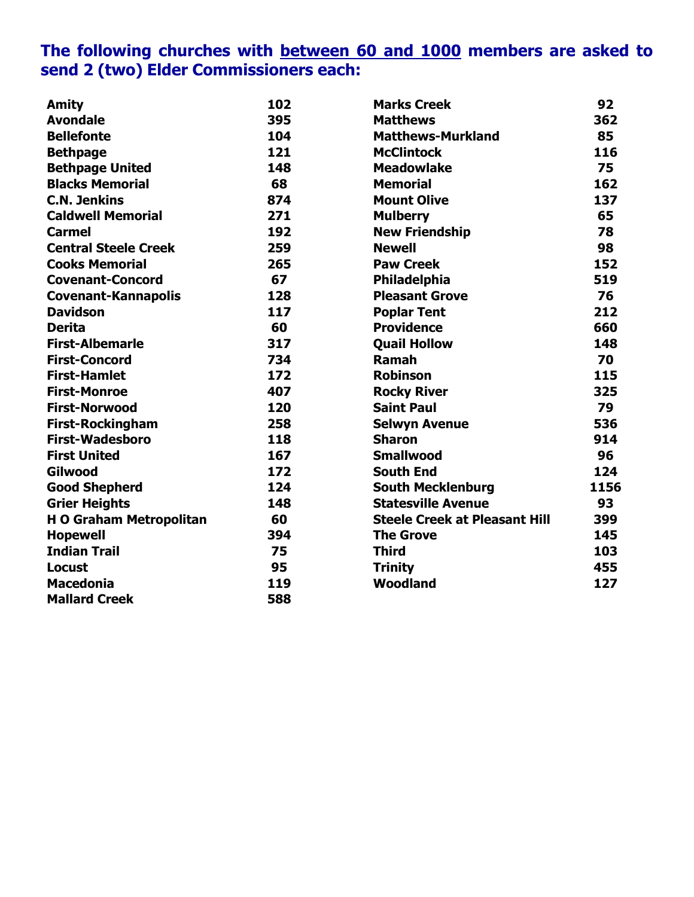## **The following churches with between 60 and 1000 members are asked to send 2 (two) Elder Commissioners each:**

| <b>Amity</b>                   | 102 | <b>Marks Creek</b>                   | 92   |
|--------------------------------|-----|--------------------------------------|------|
| <b>Avondale</b>                | 395 | <b>Matthews</b>                      | 362  |
| <b>Bellefonte</b>              | 104 | <b>Matthews-Murkland</b>             | 85   |
| <b>Bethpage</b>                | 121 | <b>McClintock</b>                    | 116  |
| <b>Bethpage United</b>         | 148 | <b>Meadowlake</b>                    | 75   |
| <b>Blacks Memorial</b>         | 68  | <b>Memorial</b>                      | 162  |
| <b>C.N. Jenkins</b>            | 874 | <b>Mount Olive</b>                   | 137  |
| <b>Caldwell Memorial</b>       | 271 | <b>Mulberry</b>                      | 65   |
| <b>Carmel</b>                  | 192 | <b>New Friendship</b>                | 78   |
| <b>Central Steele Creek</b>    | 259 | <b>Newell</b>                        | 98   |
| <b>Cooks Memorial</b>          | 265 | <b>Paw Creek</b>                     | 152  |
| <b>Covenant-Concord</b>        | 67  | <b>Philadelphia</b>                  | 519  |
| <b>Covenant-Kannapolis</b>     | 128 | <b>Pleasant Grove</b>                | 76   |
| <b>Davidson</b>                | 117 | <b>Poplar Tent</b>                   | 212  |
| <b>Derita</b>                  | 60  | <b>Providence</b>                    | 660  |
| <b>First-Albemarle</b>         | 317 | <b>Quail Hollow</b>                  | 148  |
| <b>First-Concord</b>           | 734 | Ramah                                | 70   |
| <b>First-Hamlet</b>            | 172 | <b>Robinson</b>                      | 115  |
| <b>First-Monroe</b>            | 407 | <b>Rocky River</b>                   | 325  |
| <b>First-Norwood</b>           | 120 | <b>Saint Paul</b>                    | 79   |
| <b>First-Rockingham</b>        | 258 | <b>Selwyn Avenue</b>                 | 536  |
| <b>First-Wadesboro</b>         | 118 | <b>Sharon</b>                        | 914  |
| <b>First United</b>            | 167 | <b>Smallwood</b>                     | 96   |
| Gilwood                        | 172 | <b>South End</b>                     | 124  |
| <b>Good Shepherd</b>           | 124 | <b>South Mecklenburg</b>             | 1156 |
| <b>Grier Heights</b>           | 148 | <b>Statesville Avenue</b>            | 93   |
| <b>H O Graham Metropolitan</b> | 60  | <b>Steele Creek at Pleasant Hill</b> | 399  |
| <b>Hopewell</b>                | 394 | <b>The Grove</b>                     | 145  |
| <b>Indian Trail</b>            | 75  | <b>Third</b>                         | 103  |
| <b>Locust</b>                  | 95  | <b>Trinity</b>                       | 455  |
| <b>Macedonia</b>               | 119 | Woodland                             | 127  |
| <b>Mallard Creek</b>           | 588 |                                      |      |